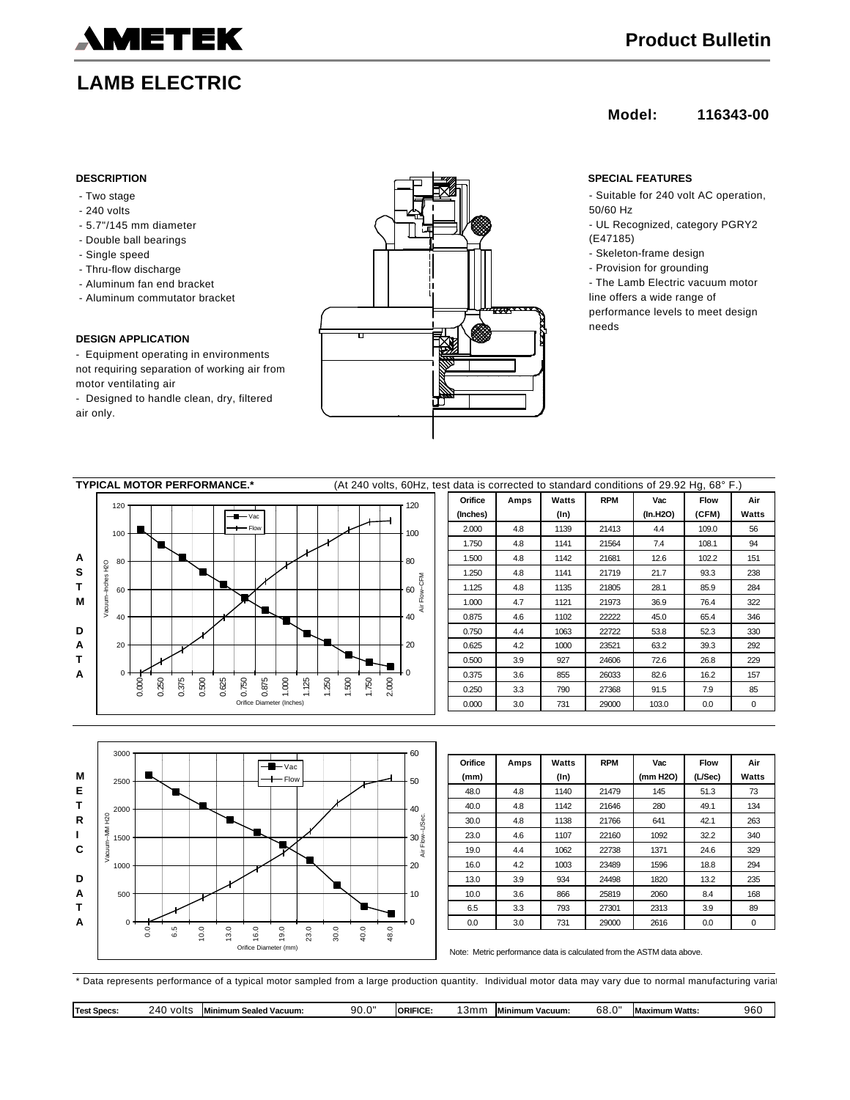

# **LAMB ELECTRIC**

## **Model: 116343-00**

- Two stage
- 240 volts
- 5.7"/145 mm diameter
- Double ball bearings
- Single speed
- Thru-flow discharge
- Aluminum fan end bracket
- Aluminum commutator bracket

### **DESIGN APPLICATION**

- Equipment operating in environments not requiring separation of working air from motor ventilating air

- Designed to handle clean, dry, filtered air only.



- Suitable for 240 volt AC operation, 50/60 Hz
- UL Recognized, category PGRY2 (E47185)
- Skeleton-frame design
- Provision for grounding
- The Lamb Electric vacuum motor line offers a wide range of performance levels to meet design needs

| <b>TYPICAL MOTOR PERFORMANCE.*</b> |            |       |               |       |       |       |       |       |                           |       |          | (At 240 volts, 60Hz, test data is corrected to standard conditions of 29.92 Hg, 68° F.) |       |       |                             |            |       |       |            |       |       |       |       |     |
|------------------------------------|------------|-------|---------------|-------|-------|-------|-------|-------|---------------------------|-------|----------|-----------------------------------------------------------------------------------------|-------|-------|-----------------------------|------------|-------|-------|------------|-------|-------|-------|-------|-----|
|                                    | 120        | 120   |               |       |       |       |       |       |                           |       |          |                                                                                         |       |       |                             | Orifice    | Amps  | Watts | <b>RPM</b> | Vac   | Flow  | Air   |       |     |
| A<br>s<br>т<br>M<br>D              |            |       | $-$ M $-$ Vac |       |       |       |       |       |                           |       | (Inches) |                                                                                         | (In)  |       | (In.H2O)                    | (CFM)      | Watts |       |            |       |       |       |       |     |
|                                    | 100        |       | $-$ Flow      |       |       |       |       |       |                           |       |          | 100                                                                                     |       | 2.000 | 4.8                         | 1139       | 21413 | 4.4   | 109.0      | 56    |       |       |       |     |
|                                    |            |       |               |       |       |       |       |       |                           |       |          |                                                                                         |       |       |                             |            |       | 1.750 | 4.8        | 1141  | 21564 | 7.4   | 108.1 | 94  |
|                                    | 80         |       |               |       |       |       |       |       |                           |       |          |                                                                                         |       |       | 80                          |            |       | 1.500 | 4.8        | 1142  | 21681 | 12.6  | 102.2 | 151 |
|                                    | Inches H2O |       |               |       |       |       |       |       |                           |       |          |                                                                                         |       |       |                             | <b>N</b> E |       | 1.250 | 4.8        | 1141  | 21719 | 21.7  | 93.3  | 238 |
|                                    | 60         |       |               |       |       |       |       |       |                           |       |          |                                                                                         |       |       | 60<br>$\sum_{k=1}^{\infty}$ |            |       | 1.125 | 4.8        | 1135  | 21805 | 28.1  | 85.9  | 284 |
|                                    | Vacuum-    |       |               |       |       |       |       |       |                           |       |          |                                                                                         |       |       |                             | ă          |       | 1.000 | 4.7        | 1121  | 21973 | 36.9  | 76.4  | 322 |
|                                    | 40         |       |               |       |       |       |       |       |                           |       |          |                                                                                         |       |       | 40                          |            |       | 0.875 | 4.6        | 1102  | 22222 | 45.0  | 65.4  | 346 |
|                                    |            |       |               |       |       |       |       |       |                           |       |          |                                                                                         |       |       |                             |            |       | 0.750 | 4.4        | 1063  | 22722 | 53.8  | 52.3  | 330 |
| A                                  | 20         |       |               |       |       |       |       |       |                           |       |          |                                                                                         |       |       | 20                          |            |       | 0.625 | 4.2        | 1000  | 23521 | 63.2  | 39.3  | 292 |
| т                                  |            |       |               |       |       |       |       |       |                           |       |          |                                                                                         |       |       |                             |            | 0.500 | 3.9   | 927        | 24606 | 72.6  | 26.8  | 229   |     |
| Α                                  |            | $0 +$ |               |       |       |       |       |       |                           |       |          |                                                                                         |       |       |                             |            | 0.375 | 3.6   | 855        | 26033 | 82.6  | 16.2  | 157   |     |
|                                    |            | 0.000 | 0.250         | 0.375 | 0.500 | 0.625 | 0.750 | 0.875 | 1.000                     | 1.125 | 1.250    | 1.500                                                                                   | 1.750 | 2.000 |                             |            |       | 0.250 | 3.3        | 790   | 27368 | 91.5  | 7.9   | 85  |
|                                    |            |       |               |       |       |       |       |       | Orifice Diameter (Inches) |       |          |                                                                                         |       |       |                             |            |       | 0.000 | 3.0        | 731   | 29000 | 103.0 | 0.0   | 0   |
|                                    |            |       |               |       |       |       |       |       |                           |       |          |                                                                                         |       |       |                             |            |       |       |            |       |       |       |       |     |
|                                    |            |       |               |       |       |       |       |       |                           |       |          |                                                                                         |       |       |                             |            |       |       |            |       |       |       |       |     |



| Orifice | Amps | Watts   | <b>RPM</b> | Vac      | <b>Flow</b> | Air         |
|---------|------|---------|------------|----------|-------------|-------------|
| (mm)    |      | $(\ln)$ |            | (mm H2O) | (L/Sec)     | Watts       |
| 48.0    | 4.8  | 1140    | 21479      | 145      | 51.3        | 73          |
| 40.0    | 4.8  | 1142    | 21646      | 280      | 49.1        | 134         |
| 30.0    | 4.8  | 1138    | 21766      | 641      | 42.1        | 263         |
| 23.0    | 4.6  | 1107    | 22160      | 1092     | 32.2        | 340         |
| 19.0    | 4.4  | 1062    | 22738      | 1371     | 24.6        | 329         |
| 16.0    | 4.2  | 1003    | 23489      | 1596     | 18.8        | 294         |
| 13.0    | 3.9  | 934     | 24498      | 1820     | 13.2        | 235         |
| 10.0    | 3.6  | 866     | 25819      | 2060     | 8.4         | 168         |
| 6.5     | 3.3  | 793     | 27301      | 2313     | 3.9         | 89          |
| 0.0     | 3.0  | 731     | 29000      | 2616     | 0.0         | $\mathbf 0$ |

Note: Metric performance data is calculated from the ASTM data above.

\* Data represents performance of a typical motor sampled from a large production quantity. Individual motor data may vary due to normal manufacturing variations.

| Test<br>. | volts<br>ומי | `mum Sealeo<br>' Vacuum. | nr<br>`"<br>ຸສບ | RIFICI<br>URIN | יו כ | Vacuum<br>nimum | ົດ<br>oo | ,,,,,,,<br>xımum watts<br><b>Ma</b> | ገፎ<br>7U |
|-----------|--------------|--------------------------|-----------------|----------------|------|-----------------|----------|-------------------------------------|----------|
|-----------|--------------|--------------------------|-----------------|----------------|------|-----------------|----------|-------------------------------------|----------|